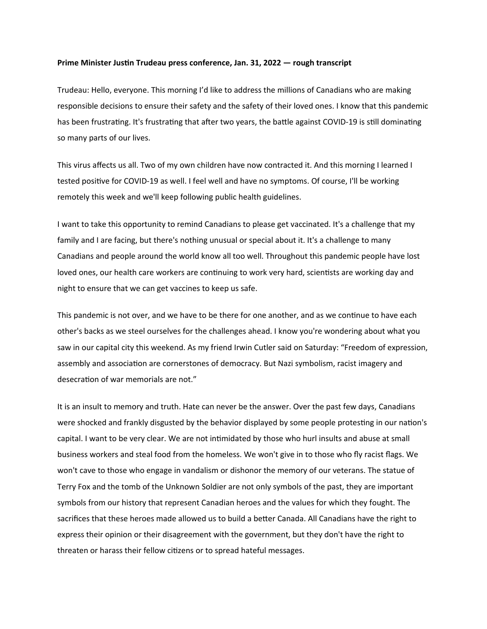## **Prime Minister Justin Trudeau press conference, Jan. 31, 2022 — rough transcript**

Trudeau: Hello, everyone. This morning I'd like to address the millions of Canadians who are making responsible decisions to ensure their safety and the safety of their loved ones. I know that this pandemic has been frustrating. It's frustrating that after two years, the battle against COVID-19 is still dominating so many parts of our lives.

This virus affects us all. Two of my own children have now contracted it. And this morning I learned I tested positive for COVID-19 as well. I feel well and have no symptoms. Of course, I'll be working remotely this week and we'll keep following public health guidelines.

I want to take this opportunity to remind Canadians to please get vaccinated. It's a challenge that my family and I are facing, but there's nothing unusual or special about it. It's a challenge to many Canadians and people around the world know all too well. Throughout this pandemic people have lost loved ones, our health care workers are continuing to work very hard, scientists are working day and night to ensure that we can get vaccines to keep us safe.

This pandemic is not over, and we have to be there for one another, and as we continue to have each other's backs as we steel ourselves for the challenges ahead. I know you're wondering about what you saw in our capital city this weekend. As my friend Irwin Cutler said on Saturday: "Freedom of expression, assembly and association are cornerstones of democracy. But Nazi symbolism, racist imagery and desecration of war memorials are not."

It is an insult to memory and truth. Hate can never be the answer. Over the past few days, Canadians were shocked and frankly disgusted by the behavior displayed by some people protesting in our nation's capital. I want to be very clear. We are not intimidated by those who hurl insults and abuse at small business workers and steal food from the homeless. We won't give in to those who fly racist flags. We won't cave to those who engage in vandalism or dishonor the memory of our veterans. The statue of Terry Fox and the tomb of the Unknown Soldier are not only symbols of the past, they are important symbols from our history that represent Canadian heroes and the values for which they fought. The sacrifices that these heroes made allowed us to build a better Canada. All Canadians have the right to express their opinion or their disagreement with the government, but they don't have the right to threaten or harass their fellow citizens or to spread hateful messages.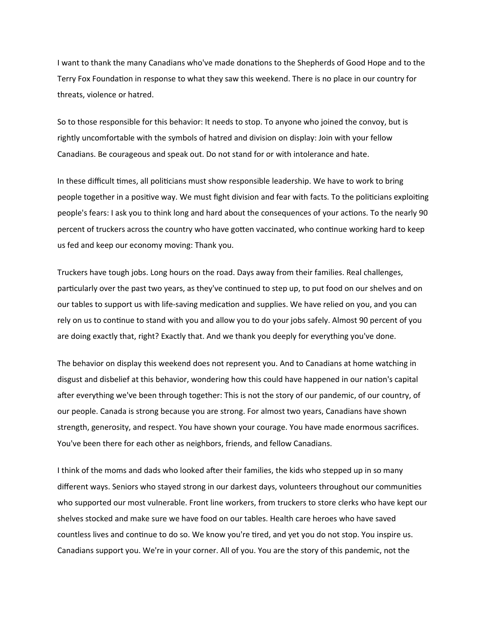I want to thank the many Canadians who've made donations to the Shepherds of Good Hope and to the Terry Fox Foundation in response to what they saw this weekend. There is no place in our country for threats, violence or hatred.

So to those responsible for this behavior: It needs to stop. To anyone who joined the convoy, but is rightly uncomfortable with the symbols of hatred and division on display: Join with your fellow Canadians. Be courageous and speak out. Do not stand for or with intolerance and hate.

In these difficult times, all politicians must show responsible leadership. We have to work to bring people together in a positive way. We must fight division and fear with facts. To the politicians exploiting people's fears: I ask you to think long and hard about the consequences of your actions. To the nearly 90 percent of truckers across the country who have gotten vaccinated, who continue working hard to keep us fed and keep our economy moving: Thank you.

Truckers have tough jobs. Long hours on the road. Days away from their families. Real challenges, particularly over the past two years, as they've continued to step up, to put food on our shelves and on our tables to support us with life-saving medication and supplies. We have relied on you, and you can rely on us to continue to stand with you and allow you to do your jobs safely. Almost 90 percent of you are doing exactly that, right? Exactly that. And we thank you deeply for everything you've done.

The behavior on display this weekend does not represent you. And to Canadians at home watching in disgust and disbelief at this behavior, wondering how this could have happened in our nation's capital after everything we've been through together: This is not the story of our pandemic, of our country, of our people. Canada is strong because you are strong. For almost two years, Canadians have shown strength, generosity, and respect. You have shown your courage. You have made enormous sacrifices. You've been there for each other as neighbors, friends, and fellow Canadians.

I think of the moms and dads who looked after their families, the kids who stepped up in so many different ways. Seniors who stayed strong in our darkest days, volunteers throughout our communities who supported our most vulnerable. Front line workers, from truckers to store clerks who have kept our shelves stocked and make sure we have food on our tables. Health care heroes who have saved countless lives and continue to do so. We know you're tired, and yet you do not stop. You inspire us. Canadians support you. We're in your corner. All of you. You are the story of this pandemic, not the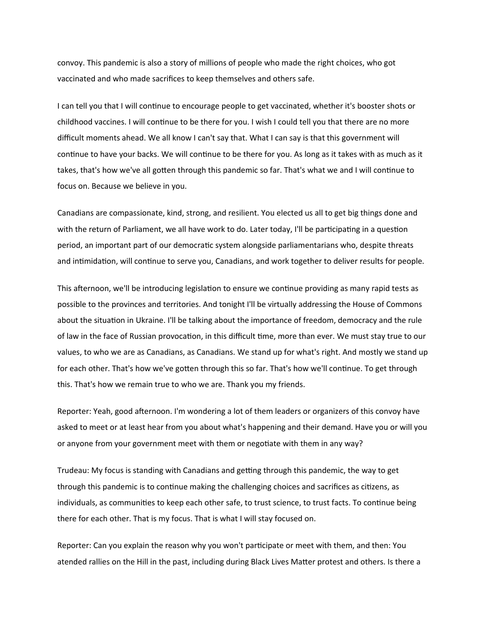convoy. This pandemic is also a story of millions of people who made the right choices, who got vaccinated and who made sacrifices to keep themselves and others safe.

I can tell you that I will continue to encourage people to get vaccinated, whether it's booster shots or childhood vaccines. I will continue to be there for you. I wish I could tell you that there are no more difficult moments ahead. We all know I can't say that. What I can say is that this government will continue to have your backs. We will continue to be there for you. As long as it takes with as much as it takes, that's how we've all gotten through this pandemic so far. That's what we and I will continue to focus on. Because we believe in you.

Canadians are compassionate, kind, strong, and resilient. You elected us all to get big things done and with the return of Parliament, we all have work to do. Later today, I'll be participating in a question period, an important part of our democratic system alongside parliamentarians who, despite threats and intimidation, will continue to serve you, Canadians, and work together to deliver results for people.

This afternoon, we'll be introducing legislation to ensure we continue providing as many rapid tests as possible to the provinces and territories. And tonight I'll be virtually addressing the House of Commons about the situation in Ukraine. I'll be talking about the importance of freedom, democracy and the rule of law in the face of Russian provocation, in this difficult time, more than ever. We must stay true to our values, to who we are as Canadians, as Canadians. We stand up for what's right. And mostly we stand up for each other. That's how we've gotten through this so far. That's how we'll continue. To get through this. That's how we remain true to who we are. Thank you my friends.

Reporter: Yeah, good afternoon. I'm wondering a lot of them leaders or organizers of this convoy have asked to meet or at least hear from you about what's happening and their demand. Have you or will you or anyone from your government meet with them or negotiate with them in any way?

Trudeau: My focus is standing with Canadians and getting through this pandemic, the way to get through this pandemic is to continue making the challenging choices and sacrifices as citizens, as individuals, as communities to keep each other safe, to trust science, to trust facts. To continue being there for each other. That is my focus. That is what I will stay focused on.

Reporter: Can you explain the reason why you won't participate or meet with them, and then: You atended rallies on the Hill in the past, including during Black Lives Matter protest and others. Is there a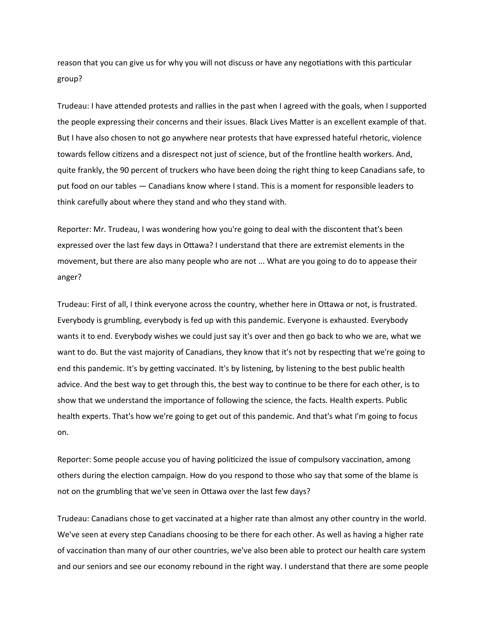reason that you can give us for why you will not discuss or have any negotiations with this particular group?

Trudeau: I have attended protests and rallies in the past when I agreed with the goals, when I supported the people expressing their concerns and their issues. Black Lives Matter is an excellent example of that. But I have also chosen to not go anywhere near protests that have expressed hateful rhetoric, violence towards fellow citizens and a disrespect not just of science, but of the frontline health workers. And, quite frankly, the 90 percent of truckers who have been doing the right thing to keep Canadians safe, to put food on our tables — Canadians know where I stand. This is a moment for responsible leaders to think carefully about where they stand and who they stand with.

Reporter: Mr. Trudeau, I was wondering how you're going to deal with the discontent that's been expressed over the last few days in Ottawa? I understand that there are extremist elements in the movement, but there are also many people who are not ... What are you going to do to appease their anger?

Trudeau: First of all, I think everyone across the country, whether here in Ottawa or not, is frustrated. Everybody is grumbling, everybody is fed up with this pandemic. Everyone is exhausted. Everybody wants it to end. Everybody wishes we could just say it's over and then go back to who we are, what we want to do. But the vast majority of Canadians, they know that it's not by respecting that we're going to end this pandemic. It's by getting vaccinated. It's by listening, by listening to the best public health advice. And the best way to get through this, the best way to continue to be there for each other, is to show that we understand the importance of following the science, the facts. Health experts. Public health experts. That's how we're going to get out of this pandemic. And that's what I'm going to focus on.

Reporter: Some people accuse you of having politicized the issue of compulsory vaccination, among others during the election campaign. How do you respond to those who say that some of the blame is not on the grumbling that we've seen in Ottawa over the last few days?

Trudeau: Canadians chose to get vaccinated at a higher rate than almost any other country in the world. We've seen at every step Canadians choosing to be there for each other. As well as having a higher rate of vaccination than many of our other countries, we've also been able to protect our health care system and our seniors and see our economy rebound in the right way. I understand that there are some people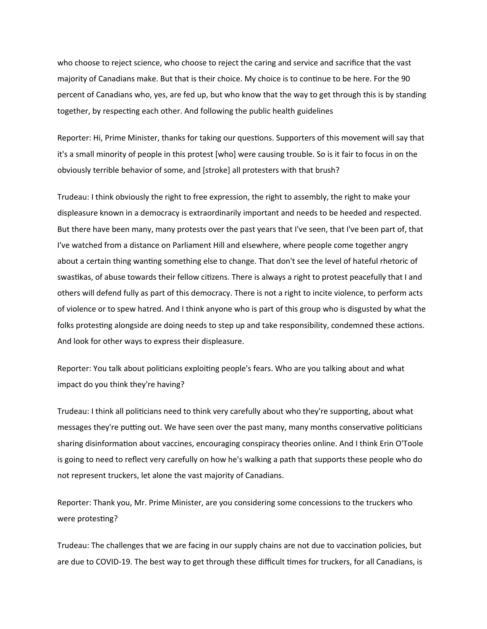who choose to reject science, who choose to reject the caring and service and sacrifice that the vast majority of Canadians make. But that is their choice. My choice is to continue to be here. For the 90 percent of Canadians who, yes, are fed up, but who know that the way to get through this is by standing together, by respecting each other. And following the public health guidelines

Reporter: Hi, Prime Minister, thanks for taking our questions. Supporters of this movement will say that it's a small minority of people in this protest [who] were causing trouble. So is it fair to focus in on the obviously terrible behavior of some, and [stroke] all protesters with that brush?

Trudeau: I think obviously the right to free expression, the right to assembly, the right to make your displeasure known in a democracy is extraordinarily important and needs to be heeded and respected. But there have been many, many protests over the past years that I've seen, that I've been part of, that I've watched from a distance on Parliament Hill and elsewhere, where people come together angry about a certain thing wanting something else to change. That don't see the level of hateful rhetoric of swastikas, of abuse towards their fellow citizens. There is always a right to protest peacefully that I and others will defend fully as part of this democracy. There is not a right to incite violence, to perform acts of violence or to spew hatred. And I think anyone who is part of this group who is disgusted by what the folks protesting alongside are doing needs to step up and take responsibility, condemned these actions. And look for other ways to express their displeasure.

Reporter: You talk about politicians exploiting people's fears. Who are you talking about and what impact do you think they're having?

Trudeau: I think all politicians need to think very carefully about who they're supporting, about what messages they're putting out. We have seen over the past many, many months conservative politicians sharing disinformation about vaccines, encouraging conspiracy theories online. And I think Erin O'Toole is going to need to reflect very carefully on how he's walking a path that supports these people who do not represent truckers, let alone the vast majority of Canadians.

Reporter: Thank you, Mr. Prime Minister, are you considering some concessions to the truckers who were protesting?

Trudeau: The challenges that we are facing in our supply chains are not due to vaccination policies, but are due to COVID-19. The best way to get through these difficult times for truckers, for all Canadians, is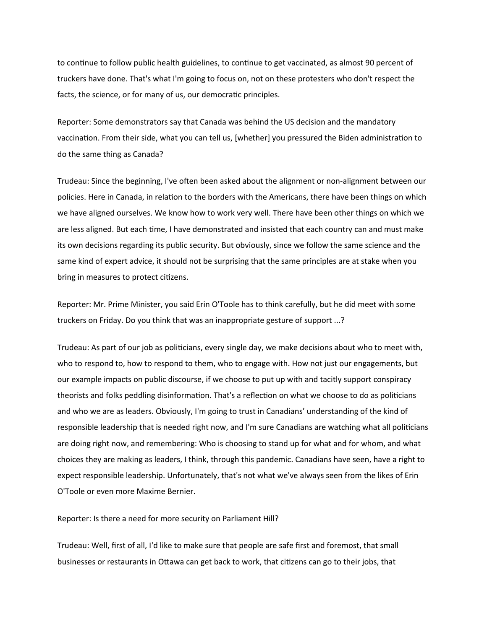to continue to follow public health guidelines, to continue to get vaccinated, as almost 90 percent of truckers have done. That's what I'm going to focus on, not on these protesters who don't respect the facts, the science, or for many of us, our democratic principles.

Reporter: Some demonstrators say that Canada was behind the US decision and the mandatory vaccination. From their side, what you can tell us, [whether] you pressured the Biden administration to do the same thing as Canada?

Trudeau: Since the beginning, I've often been asked about the alignment or non-alignment between our policies. Here in Canada, in relation to the borders with the Americans, there have been things on which we have aligned ourselves. We know how to work very well. There have been other things on which we are less aligned. But each time, I have demonstrated and insisted that each country can and must make its own decisions regarding its public security. But obviously, since we follow the same science and the same kind of expert advice, it should not be surprising that the same principles are at stake when you bring in measures to protect citizens.

Reporter: Mr. Prime Minister, you said Erin O'Toole has to think carefully, but he did meet with some truckers on Friday. Do you think that was an inappropriate gesture of support ...?

Trudeau: As part of our job as politicians, every single day, we make decisions about who to meet with, who to respond to, how to respond to them, who to engage with. How not just our engagements, but our example impacts on public discourse, if we choose to put up with and tacitly support conspiracy theorists and folks peddling disinformation. That's a reflection on what we choose to do as politicians and who we are as leaders. Obviously, I'm going to trust in Canadians' understanding of the kind of responsible leadership that is needed right now, and I'm sure Canadians are watching what all politicians are doing right now, and remembering: Who is choosing to stand up for what and for whom, and what choices they are making as leaders, I think, through this pandemic. Canadians have seen, have a right to expect responsible leadership. Unfortunately, that's not what we've always seen from the likes of Erin O'Toole or even more Maxime Bernier.

Reporter: Is there a need for more security on Parliament Hill?

Trudeau: Well, first of all, I'd like to make sure that people are safe first and foremost, that small businesses or restaurants in Ottawa can get back to work, that citizens can go to their jobs, that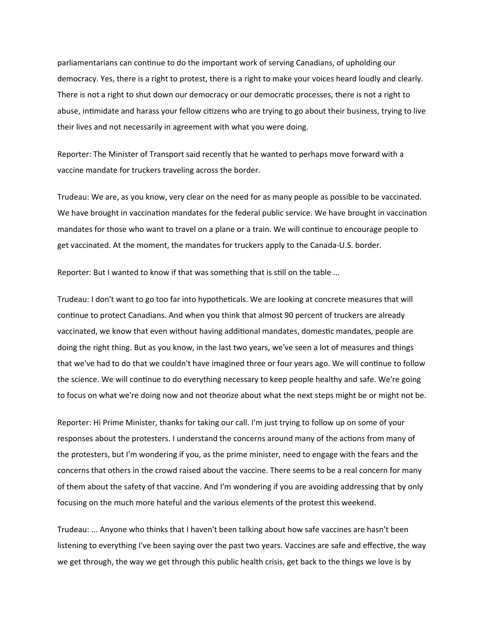parliamentarians can continue to do the important work of serving Canadians, of upholding our democracy. Yes, there is a right to protest, there is a right to make your voices heard loudly and clearly. There is not a right to shut down our democracy or our democratic processes, there is not a right to abuse, intimidate and harass your fellow citizens who are trying to go about their business, trying to live their lives and not necessarily in agreement with what you were doing.

Reporter: The Minister of Transport said recently that he wanted to perhaps move forward with a vaccine mandate for truckers traveling across the border.

Trudeau: We are, as you know, very clear on the need for as many people as possible to be vaccinated. We have brought in vaccination mandates for the federal public service. We have brought in vaccination mandates for those who want to travel on a plane or a train. We will continue to encourage people to get vaccinated. At the moment, the mandates for truckers apply to the Canada-U.S. border.

Reporter: But I wanted to know if that was something that is still on the table ...

Trudeau: I don't want to go too far into hypotheticals. We are looking at concrete measures that will continue to protect Canadians. And when you think that almost 90 percent of truckers are already vaccinated, we know that even without having additional mandates, domestic mandates, people are doing the right thing. But as you know, in the last two years, we've seen a lot of measures and things that we've had to do that we couldn't have imagined three or four years ago. We will continue to follow the science. We will continue to do everything necessary to keep people healthy and safe. We're going to focus on what we're doing now and not theorize about what the next steps might be or might not be.

Reporter: Hi Prime Minister, thanks for taking our call. I'm just trying to follow up on some of your responses about the protesters. I understand the concerns around many of the actions from many of the protesters, but I'm wondering if you, as the prime minister, need to engage with the fears and the concerns that others in the crowd raised about the vaccine. There seems to be a real concern for many of them about the safety of that vaccine. And I'm wondering if you are avoiding addressing that by only focusing on the much more hateful and the various elements of the protest this weekend.

Trudeau: ... Anyone who thinks that I haven't been talking about how safe vaccines are hasn't been listening to everything I've been saying over the past two years. Vaccines are safe and effective, the way we get through, the way we get through this public health crisis, get back to the things we love is by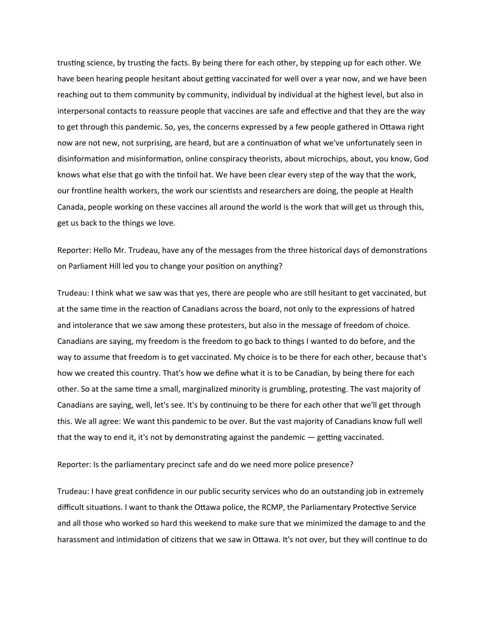trusting science, by trusting the facts. By being there for each other, by stepping up for each other. We have been hearing people hesitant about getting vaccinated for well over a year now, and we have been reaching out to them community by community, individual by individual at the highest level, but also in interpersonal contacts to reassure people that vaccines are safe and effective and that they are the way to get through this pandemic. So, yes, the concerns expressed by a few people gathered in Ottawa right now are not new, not surprising, are heard, but are a continuation of what we've unfortunately seen in disinformation and misinformation, online conspiracy theorists, about microchips, about, you know, God knows what else that go with the tinfoil hat. We have been clear every step of the way that the work, our frontline health workers, the work our scientists and researchers are doing, the people at Health Canada, people working on these vaccines all around the world is the work that will get us through this, get us back to the things we love.

Reporter: Hello Mr. Trudeau, have any of the messages from the three historical days of demonstrations on Parliament Hill led you to change your position on anything?

Trudeau: I think what we saw was that yes, there are people who are still hesitant to get vaccinated, but at the same time in the reaction of Canadians across the board, not only to the expressions of hatred and intolerance that we saw among these protesters, but also in the message of freedom of choice. Canadians are saying, my freedom is the freedom to go back to things I wanted to do before, and the way to assume that freedom is to get vaccinated. My choice is to be there for each other, because that's how we created this country. That's how we define what it is to be Canadian, by being there for each other. So at the same time a small, marginalized minority is grumbling, protesting. The vast majority of Canadians are saying, well, let's see. It's by continuing to be there for each other that we'll get through this. We all agree: We want this pandemic to be over. But the vast majority of Canadians know full well that the way to end it, it's not by demonstrating against the pandemic — getting vaccinated.

## Reporter: Is the parliamentary precinct safe and do we need more police presence?

Trudeau: I have great confidence in our public security services who do an outstanding job in extremely difficult situations. I want to thank the Ottawa police, the RCMP, the Parliamentary Protective Service and all those who worked so hard this weekend to make sure that we minimized the damage to and the harassment and intimidation of citizens that we saw in Ottawa. It's not over, but they will continue to do